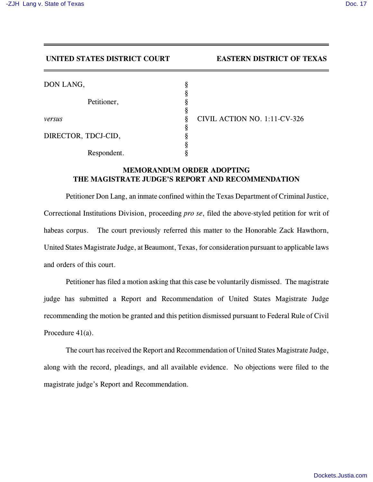## **UNITED STATES DISTRICT COURT EASTERN DISTRICT OF TEXAS**

| DON LANG,           | 8      |              |
|---------------------|--------|--------------|
| Petitioner,         |        |              |
|                     | 8      |              |
| versus              | Ş<br>Ş | <b>CIVII</b> |
| DIRECTOR, TDCJ-CID, |        |              |
|                     |        |              |
| Respondent.         |        |              |

*versus* § CIVIL ACTION NO. 1:11-CV-326

## **MEMORANDUM ORDER ADOPTING THE MAGISTRATE JUDGE'S REPORT AND RECOMMENDATION**

Petitioner Don Lang, an inmate confined within the Texas Department of Criminal Justice, Correctional Institutions Division, proceeding *pro se*, filed the above-styled petition for writ of habeas corpus. The court previously referred this matter to the Honorable Zack Hawthorn, United States Magistrate Judge, at Beaumont, Texas, for consideration pursuant to applicable laws and orders of this court.

Petitioner has filed a motion asking that this case be voluntarily dismissed. The magistrate judge has submitted a Report and Recommendation of United States Magistrate Judge recommending the motion be granted and this petition dismissed pursuant to Federal Rule of Civil Procedure 41(a).

The court has received the Report and Recommendation of United States Magistrate Judge, along with the record, pleadings, and all available evidence. No objections were filed to the magistrate judge's Report and Recommendation.